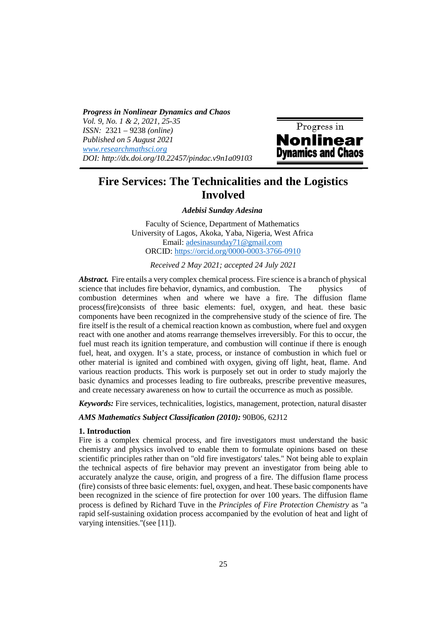*Progress in Nonlinear Dynamics and Chaos Vol. 9, No. 1 & 2, 2021, 25-35 ISSN:* 2321 – 9238 *(online) Published on 5 August 2021 www.researchmathsci.org DOI: http://dx.doi.org/10.22457/pindac.v9n1a09103*



# **Fire Services: The Technicalities and the Logistics Involved**

*Adebisi Sunday Adesina* 

Faculty of Science, Department of Mathematics University of Lagos, Akoka, Yaba, Nigeria, West Africa Email: adesinasunday71@gmail.com ORCID: https://orcid.org/0000-0003-3766-0910

*Received 2 May 2021; accepted 24 July 2021* 

*Abstract.* Fire entails a very complex chemical process. Fire science is a branch of physical science that includes fire behavior, dynamics, and combustion. The physics of combustion determines when and where we have a fire. The diffusion flame process(fire)consists of three basic elements: fuel, oxygen, and heat. these basic components have been recognized in the comprehensive study of the science of fire*.* The fire itself is the result of a chemical reaction known as combustion, where fuel and oxygen react with one another and atoms rearrange themselves irreversibly. For this to occur, the fuel must reach its ignition temperature, and combustion will continue if there is enough fuel, heat, and oxygen. It's a state, process, or instance of combustion in which fuel or other material is ignited and combined with oxygen, giving off light, heat, flame. And various reaction products. This work is purposely set out in order to study majorly the basic dynamics and processes leading to fire outbreaks, prescribe preventive measures, and create necessary awareness on how to curtail the occurrence as much as possible.

*Keywords:* Fire services, technicalities, logistics, management, protection, natural disaster

#### *AMS Mathematics Subject Classification (2010):* 90B06, 62J12

### **1. Introduction**

Fire is a complex chemical process, and fire investigators must understand the basic chemistry and physics involved to enable them to formulate opinions based on these scientific principles rather than on "old fire investigators' tales." Not being able to explain the technical aspects of fire behavior may prevent an investigator from being able to accurately analyze the cause, origin, and progress of a fire. The diffusion flame process (fire) consists of three basic elements: fuel, oxygen, and heat. These basic components have been recognized in the science of fire protection for over 100 years. The diffusion flame process is defined by Richard Tuve in the *Principles of Fire Protection Chemistry* as "a rapid self-sustaining oxidation process accompanied by the evolution of heat and light of varying intensities."(see [11]).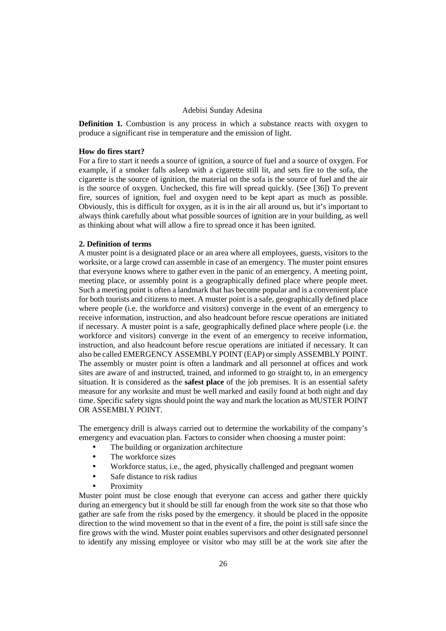**Definition 1.** Combustion is any process in which a substance reacts with oxygen to produce a significant rise in temperature and the emission of light.

## **How do fires start?**

For a fire to start it needs a source of ignition, a source of fuel and a source of oxygen. For example, if a smoker falls asleep with a cigarette still lit, and sets fire to the sofa, the cigarette is the source of ignition, the material on the sofa is the source of fuel and the air is the source of oxygen. Unchecked, this fire will spread quickly. (See [36]) To prevent fire, sources of ignition, fuel and oxygen need to be kept apart as much as possible. Obviously, this is difficult for oxygen, as it is in the air all around us, but it's important to always think carefully about what possible sources of ignition are in your building, as well as thinking about what will allow a fire to spread once it has been ignited.

#### **2. Definition of terms**

A muster point is a designated place or an area where all employees, guests, visitors to the worksite, or a large crowd can assemble in case of an emergency. The muster point ensures that everyone knows where to gather even in the panic of an emergency. A meeting point, meeting place, or assembly point is a geographically defined place where people meet. Such a meeting point is often a landmark that has become popular and is a convenient place for both tourists and citizens to meet. A muster point is a safe, geographically defined place where people (i.e. the workforce and visitors) converge in the event of an emergency to receive information, instruction, and also headcount before rescue operations are initiated if necessary. A muster point is a safe, geographically defined place where people (i.e. the workforce and visitors) converge in the event of an emergency to receive information, instruction, and also headcount before rescue operations are initiated if necessary. It can also be called EMERGENCY ASSEMBLY POINT (EAP) or simply ASSEMBLY POINT. The assembly or muster point is often a landmark and all personnel at offices and work sites are aware of and instructed, trained, and informed to go straight to, in an emergency situation. It is considered as the **safest place** of the job premises. It is an essential safety measure for any worksite and must be well marked and easily found at both night and day time. Specific safety signs should point the way and mark the location as MUSTER POINT OR ASSEMBLY POINT.

The emergency drill is always carried out to determine the workability of the company's emergency and evacuation plan. Factors to consider when choosing a muster point:

- The building or organization architecture
- The workforce sizes
- Workforce status, i.e., the aged, physically challenged and pregnant women
- Safe distance to risk radius
- **Proximity**

Muster point must be close enough that everyone can access and gather there quickly during an emergency but it should be still far enough from the work site so that those who gather are safe from the risks posed by the emergency. it should be placed in the opposite direction to the wind movement so that in the event of a fire, the point is still safe since the fire grows with the wind. Muster point enables supervisors and other designated personnel to identify any missing employee or visitor who may still be at the work site after the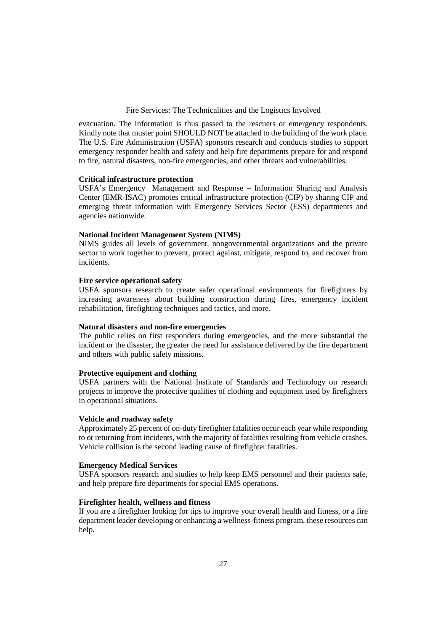evacuation. The information is thus passed to the rescuers or emergency respondents. Kindly note that muster point SHOULD NOT be attached to the building of the work place. The U.S. Fire Administration (USFA) sponsors research and conducts studies to support emergency responder health and safety and help fire departments prepare for and respond to fire, natural disasters, non-fire emergencies, and other threats and vulnerabilities.

#### **Critical infrastructure protection**

USFA's Emergency Management and Response – Information Sharing and Analysis Center (EMR-ISAC) promotes critical infrastructure protection (CIP) by sharing CIP and emerging threat information with Emergency Services Sector (ESS) departments and agencies nationwide.

## **National Incident Management System (NIMS)**

NIMS guides all levels of government, nongovernmental organizations and the private sector to work together to prevent, protect against, mitigate, respond to, and recover from incidents.

## **Fire service operational safety**

USFA sponsors research to create safer operational environments for firefighters by increasing awareness about building construction during fires, emergency incident rehabilitation, firefighting techniques and tactics, and more.

## **Natural disasters and non-fire emergencies**

The public relies on first responders during emergencies, and the more substantial the incident or the disaster, the greater the need for assistance delivered by the fire department and others with public safety missions.

## **Protective equipment and clothing**

USFA partners with the National Institute of Standards and Technology on research projects to improve the protective qualities of clothing and equipment used by firefighters in operational situations.

## **Vehicle and roadway safety**

Approximately 25 percent of on-duty firefighter fatalities occur each year while responding to or returning from incidents, with the majority of fatalities resulting from vehicle crashes. Vehicle collision is the second leading cause of firefighter fatalities.

## **Emergency Medical Services**

USFA sponsors research and studies to help keep EMS personnel and their patients safe, and help prepare fire departments for special EMS operations.

## **Firefighter health, wellness and fitness**

If you are a firefighter looking for tips to improve your overall health and fitness, or a fire department leader developing or enhancing a wellness-fitness program, these resources can help.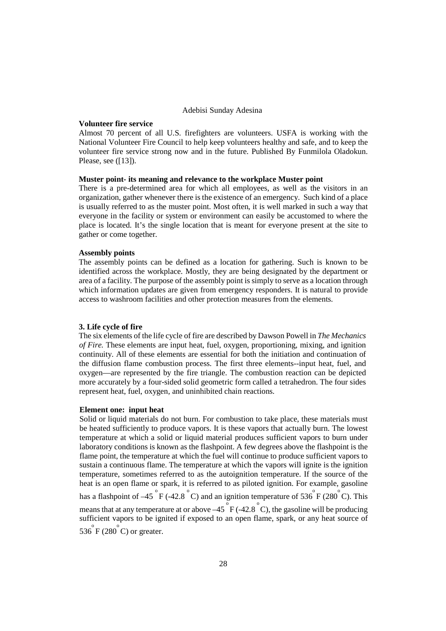#### **Volunteer fire service**

Almost 70 percent of all U.S. firefighters are volunteers. USFA is working with the National Volunteer Fire Council to help keep volunteers healthy and safe, and to keep the volunteer fire service strong now and in the future. Published By Funmilola Oladokun. Please, see ([13]).

### **Muster point- its meaning and relevance to the workplace Muster point**

There is a pre-determined area for which all employees, as well as the visitors in an organization, gather whenever there is the existence of an emergency. Such kind of a place is usually referred to as the muster point. Most often, it is well marked in such a way that everyone in the facility or system or environment can easily be accustomed to where the place is located. It's the single location that is meant for everyone present at the site to gather or come together.

## **Assembly points**

The assembly points can be defined as a location for gathering. Such is known to be identified across the workplace. Mostly, they are being designated by the department or area of a facility. The purpose of the assembly point is simply to serve as a location through which information updates are given from emergency responders. It is natural to provide access to washroom facilities and other protection measures from the elements.

## **3. Life cycle of fire**

The six elements of the life cycle of fire are described by Dawson Powell in *The Mechanics of Fire.* These elements are input heat, fuel, oxygen, proportioning, mixing, and ignition continuity. All of these elements are essential for both the initiation and continuation of the diffusion flame combustion process. The first three elements--input heat, fuel, and oxygen—are represented by the fire triangle. The combustion reaction can be depicted more accurately by a four-sided solid geometric form called a tetrahedron. The four sides represent heat, fuel, oxygen, and uninhibited chain reactions.

#### **Element one: input heat**

Solid or liquid materials do not burn. For combustion to take place, these materials must be heated sufficiently to produce vapors. It is these vapors that actually burn. The lowest temperature at which a solid or liquid material produces sufficient vapors to burn under laboratory conditions is known as the flashpoint. A few degrees above the flashpoint is the flame point, the temperature at which the fuel will continue to produce sufficient vapors to sustain a continuous flame. The temperature at which the vapors will ignite is the ignition temperature, sometimes referred to as the autoignition temperature. If the source of the heat is an open flame or spark, it is referred to as piloted ignition. For example, gasoline has a flashpoint of  $-45^\circ$  F (-42.8  $^\circ$  C) and an ignition temperature of 536  $\rm{F}$  (280  $\rm{C}$ ). This means that at any temperature at or above  $-45\degree$ F (-42.8  $\degree$ C), the gasoline will be producing sufficient vapors to be ignited if exposed to an open flame, spark, or any heat source of  $536^\circ$  F (280  $^\circ$ C) or greater.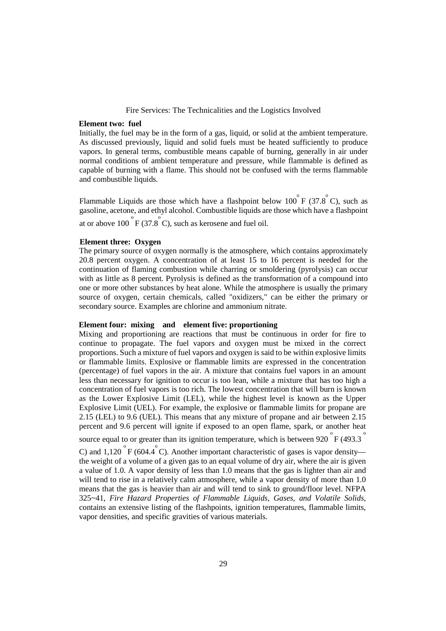#### **Element two: fuel**

Initially, the fuel may be in the form of a gas, liquid, or solid at the ambient temperature. As discussed previously, liquid and solid fuels must be heated sufficiently to produce vapors. In general terms, combustible means capable of burning, generally in air under normal conditions of ambient temperature and pressure, while flammable is defined as capable of burning with a flame. This should not be confused with the terms flammable and combustible liquids.

Flammable Liquids are those which have a flashpoint below  $100^{o}$  F (37.8<sup>°</sup>C), such as gasoline, acetone, and ethyl alcohol. Combustible liquids are those which have a flashpoint at or above  $100^\circ$  F (37.8 $^\circ$ C), such as kerosene and fuel oil.

## **Element three: Oxygen**

The primary source of oxygen normally is the atmosphere, which contains approximately 20.8 percent oxygen. A concentration of at least 15 to 16 percent is needed for the continuation of flaming combustion while charring or smoldering (pyrolysis) can occur with as little as 8 percent. Pyrolysis is defined as the transformation of a compound into one or more other substances by heat alone. While the atmosphere is usually the primary source of oxygen, certain chemicals, called "oxidizers," can be either the primary or secondary source. Examples are chlorine and ammonium nitrate.

## **Element four: mixing and element five: proportioning**

Mixing and proportioning are reactions that must be continuous in order for fire to continue to propagate. The fuel vapors and oxygen must be mixed in the correct proportions. Such a mixture of fuel vapors and oxygen is said to be within explosive limits or flammable limits. Explosive or flammable limits are expressed in the concentration (percentage) of fuel vapors in the air. A mixture that contains fuel vapors in an amount less than necessary for ignition to occur is too lean, while a mixture that has too high a concentration of fuel vapors is too rich. The lowest concentration that will burn is known as the Lower Explosive Limit (LEL), while the highest level is known as the Upper Explosive Limit (UEL). For example, the explosive or flammable limits for propane are 2.15 (LEL) to 9.6 (UEL). This means that any mixture of propane and air between 2.15 percent and 9.6 percent will ignite if exposed to an open flame, spark, or another heat

source equal to or greater than its ignition temperature, which is between 920  $\degree$ F (493.3  $\degree$ 

C) and 1,120  $\degree$  F (604.4  $\degree$  C). Another important characteristic of gases is vapor density the weight of a volume of a given gas to an equal volume of dry air, where the air is given a value of 1.0. A vapor density of less than 1.0 means that the gas is lighter than air and will tend to rise in a relatively calm atmosphere, while a vapor density of more than 1.0 means that the gas is heavier than air and will tend to sink to ground/floor level. NFPA 325~41, *Fire Hazard Properties of Flammable Liquids, Gases, and Volatile Solids,*  contains an extensive listing of the flashpoints, ignition temperatures, flammable limits, vapor densities, and specific gravities of various materials.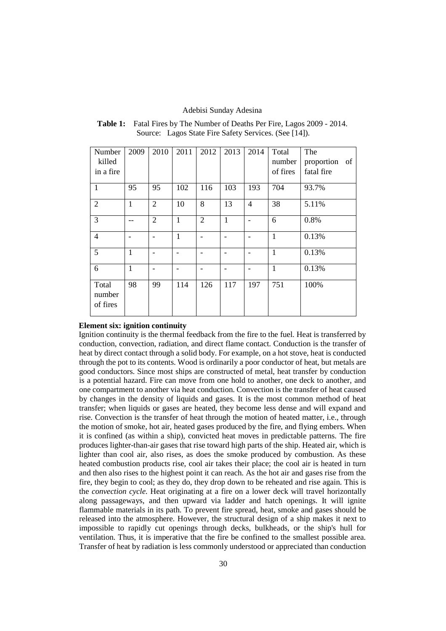| Number                      | 2009         | 2010           | 2011         | 2012           | 2013         | 2014                     | Total        | The        |    |
|-----------------------------|--------------|----------------|--------------|----------------|--------------|--------------------------|--------------|------------|----|
| killed                      |              |                |              |                |              |                          | number       | proportion | of |
| in a fire                   |              |                |              |                |              |                          | of fires     | fatal fire |    |
| $\mathbf{1}$                | 95           | 95             | 102          | 116            | 103          | 193                      | 704          | 93.7%      |    |
| $\overline{2}$              | $\mathbf{1}$ | $\overline{2}$ | 10           | 8              | 13           | $\overline{4}$           | 38           | 5.11%      |    |
| 3                           |              | $\overline{2}$ | $\mathbf{1}$ | $\overline{2}$ | $\mathbf{1}$ | $\overline{\phantom{a}}$ | 6            | 0.8%       |    |
| $\overline{4}$              |              |                | $\mathbf{1}$ |                |              |                          | $\mathbf{1}$ | 0.13%      |    |
| 5                           | 1            |                |              |                |              |                          | 1            | 0.13%      |    |
| 6                           | $\mathbf{1}$ |                |              |                |              |                          | $\mathbf{1}$ | 0.13%      |    |
| Total<br>number<br>of fires | 98           | 99             | 114          | 126            | 117          | 197                      | 751          | 100%       |    |

## **Table 1:** Fatal Fires by The Number of Deaths Per Fire, Lagos 2009 - 2014. Source: Lagos State Fire Safety Services. (See [14]).

### **Element six: ignition continuity**

Ignition continuity is the thermal feedback from the fire to the fuel. Heat is transferred by conduction, convection, radiation, and direct flame contact. Conduction is the transfer of heat by direct contact through a solid body. For example, on a hot stove, heat is conducted through the pot to its contents. Wood is ordinarily a poor conductor of heat, but metals are good conductors. Since most ships are constructed of metal, heat transfer by conduction is a potential hazard. Fire can move from one hold to another, one deck to another, and one compartment to another via heat conduction. Convection is the transfer of heat caused by changes in the density of liquids and gases. It is the most common method of heat transfer; when liquids or gases are heated, they become less dense and will expand and rise. Convection is the transfer of heat through the motion of heated matter, i.e., through the motion of smoke, hot air, heated gases produced by the fire, and flying embers. When it is confined (as within a ship), convicted heat moves in predictable patterns. The fire produces lighter-than-air gases that rise toward high parts of the ship. Heated air, which is lighter than cool air, also rises, as does the smoke produced by combustion. As these heated combustion products rise, cool air takes their place; the cool air is heated in turn and then also rises to the highest point it can reach. As the hot air and gases rise from the fire, they begin to cool; as they do, they drop down to be reheated and rise again. This is the *convection cycle.* Heat originating at a fire on a lower deck will travel horizontally along passageways, and then upward via ladder and hatch openings. It will ignite flammable materials in its path. To prevent fire spread, heat, smoke and gases should be released into the atmosphere. However, the structural design of a ship makes it next to impossible to rapidly cut openings through decks, bulkheads, or the ship's hull for ventilation. Thus, it is imperative that the fire be confined to the smallest possible area. Transfer of heat by radiation is less commonly understood or appreciated than conduction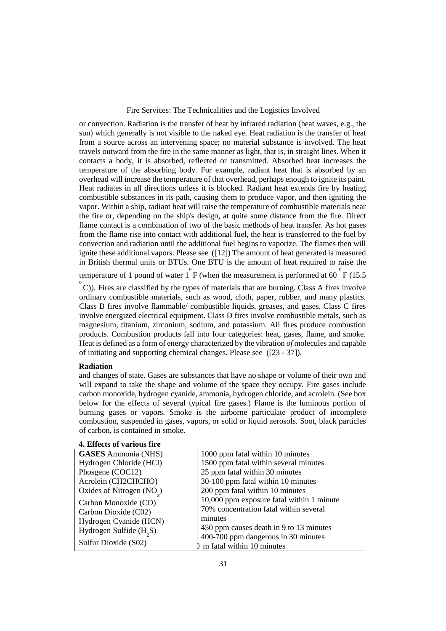or convection. Radiation is the transfer of heat by infrared radiation (heat waves, e.g., the sun) which generally is not visible to the naked eye. Heat radiation is the transfer of heat from a source across an intervening space; no material substance is involved. The heat travels outward from the fire in the same manner as light, that is, in straight lines. When it contacts a body, it is absorbed, reflected or transmitted. Absorbed heat increases the temperature of the absorbing body. For example, radiant heat that is absorbed by an overhead will increase the temperature of that overhead, perhaps enough to ignite its paint. Heat radiates in all directions unless it is blocked. Radiant heat extends fire by heating combustible substances in its path, causing them to produce vapor, and then igniting the vapor. Within a ship, radiant heat will raise the temperature of combustible materials near the fire or, depending on the ship's design, at quite some distance from the fire. Direct flame contact is a combination of two of the basic methods of heat transfer. As hot gases from the flame rise into contact with additional fuel, the heat is transferred to the fuel by convection and radiation until the additional fuel begins to vaporize. The flames then will ignite these additional vapors. Please see ([12]) The amount of heat generated is measured in British thermal units or BTUs. One BTU is the amount of heat required to raise the

temperature of 1 pound of water  $1^{o}$  F (when the measurement is performed at 60  $^{o}$  F (15.5)

 $\degree$  C)). Fires are classified by the types of materials that are burning. Class A fires involve ordinary combustible materials, such as wood, cloth, paper, rubber, and many plastics. Class B fires involve flammable/ combustible liquids, greases, and gases. Class C fires involve energized electrical equipment. Class D fires involve combustible metals, such as magnesium, titanium, zirconium, sodium, and potassium. All fires produce combustion products. Combustion products fall into four categories: heat, gases, flame, and smoke. Heat is defined as a form of energy characterized by the vibration *of* molecules and capable of initiating and supporting chemical changes. Please see ([23 - 37]).

## **Radiation**

and changes of state. Gases are substances that have no shape or volume of their own and will expand to take the shape and volume of the space they occupy. Fire gases include carbon monoxide, hydrogen cyanide, ammonia, hydrogen chloride, and acrolein. (See box below for the effects of several typical fire gases.) Flame is the luminous portion of burning gases or vapors. Smoke is the airborne particulate product of incomplete combustion, suspended in gases, vapors, or solid or liquid aerosols. Soot, black particles of carbon, is contained in smoke.

| 4. Effects of various fire            |                                           |  |  |  |  |
|---------------------------------------|-------------------------------------------|--|--|--|--|
| <b>GASES</b> Ammonia (NHS)            | 1000 ppm fatal within 10 minutes          |  |  |  |  |
| Hydrogen Chloride (HCI)               | 1500 ppm fatal within several minutes     |  |  |  |  |
| Phosgene (COC12)                      | 25 ppm fatal within 30 minutes            |  |  |  |  |
| Acrolein (CH2CHCHO)                   | 30-100 ppm fatal within 10 minutes        |  |  |  |  |
| Oxides of Nitrogen (NO <sub>.</sub> ) | 200 ppm fatal within 10 minutes           |  |  |  |  |
| Carbon Monoxide (CO)                  | 10,000 ppm exposure fatal within 1 minute |  |  |  |  |
| Carbon Dioxide (C02)                  | 70% concentration fatal within several    |  |  |  |  |
| Hydrogen Cyanide (HCN)                | minutes                                   |  |  |  |  |
| Hydrogen Sulfide $(H2S)$              | 450 ppm causes death in 9 to 13 minutes   |  |  |  |  |
|                                       | 400-700 ppm dangerous in 30 minutes       |  |  |  |  |
| Sulfur Dioxide (S02)                  | m fatal within 10 minutes                 |  |  |  |  |

# **4. Effects of various fire**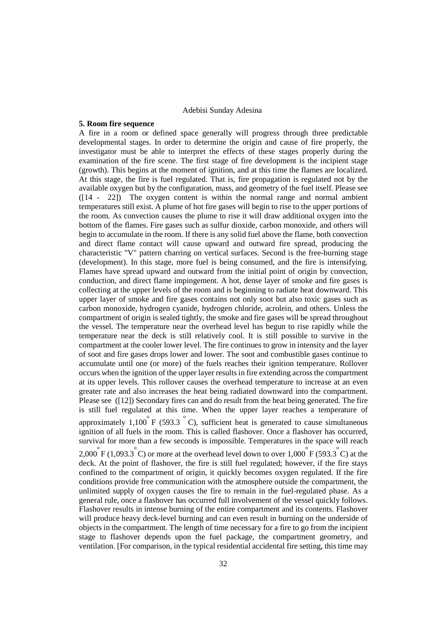#### **5. Room fire sequence**

A fire in a room or defined space generally will progress through three predictable developmental stages. In order to determine the origin and cause of fire properly, the investigator must be able to interpret the effects of these stages properly during the examination of the fire scene. The first stage of fire development is the incipient stage (growth). This begins at the moment of ignition, and at this time the flames are localized. At this stage, the fire is fuel regulated. That is, fire propagation is regulated not by the available oxygen but by the configuration, mass, and geometry of the fuel itself. Please see ([14 - 22]) The oxygen content is within the normal range and normal ambient temperatures still exist. A plume of hot fire gases will begin to rise to the upper portions of the room. As convection causes the plume to rise it will draw additional oxygen into the bottom of the flames. Fire gases such as sulfur dioxide, carbon monoxide, and others will begin to accumulate in the room. If there is any solid fuel above the flame, both convection and direct flame contact will cause upward and outward fire spread, producing the characteristic "V" pattern charring on vertical surfaces. Second is the free-burning stage (development). In this stage, more fuel is being consumed, and the fire is intensifying. Flames have spread upward and outward from the initial point of origin by convection, conduction, and direct flame impingement. A hot, dense layer of smoke and fire gases is collecting at the upper levels of the room and is beginning to radiate heat downward. This upper layer of smoke and fire gases contains not only soot but also toxic gases such as carbon monoxide, hydrogen cyanide, hydrogen chloride, acrolein, and others. Unless the compartment of origin is sealed tightly, the smoke and fire gases will be spread throughout the vessel. The temperature near the overhead level has begun to rise rapidly while the temperature near the deck is still relatively cool. It is still possible to survive in the compartment at the cooler lower level. The fire continues to grow in intensity and the layer of soot and fire gases drops lower and lower. The soot and combustible gases continue to accumulate until one (or more) of the fuels reaches their ignition temperature. Rollover occurs when the ignition of the upper layer results in fire extending across the compartment at its upper levels. This rollover causes the overhead temperature to increase at an even greater rate and also increases the heat being radiated downward into the compartment. Please see ([12]) Secondary fires can and do result from the heat being generated. The fire is still fuel regulated at this time. When the upper layer reaches a temperature of approximately 1,100  $\overline{P}$  (593.3  $\overline{O}$ ), sufficient heat is generated to cause simultaneous ignition of all fuels in the room. This is called flashover. Once a flashover has occurred, survival for more than a few seconds is impossible. Temperatures in the space will reach 2,000  $\overset{\circ}{F}$  (1,093.3  $\overset{\circ}{C}$ ) or more at the overhead level down to over 1,000  $\overset{\circ}{F}$  (593.3  $\overset{\circ}{C}$ ) at the deck. At the point of flashover, the fire is still fuel regulated; however, if the fire stays confined to the compartment of origin, it quickly becomes oxygen regulated. If the fire conditions provide free communication with the atmosphere outside the compartment, the unlimited supply of oxygen causes the fire to remain in the fuel-regulated phase. As a general rule, once a flashover has occurred full involvement of the vessel quickly follows. Flashover results in intense burning of the entire compartment and its contents. Flashover will produce heavy deck-level burning and can even result in burning on the underside of objects in the compartment. The length of time necessary for a fire to go from the incipient stage to flashover depends upon the fuel package, the compartment geometry, and ventilation. [For comparison, in the typical residential accidental fire setting, this time may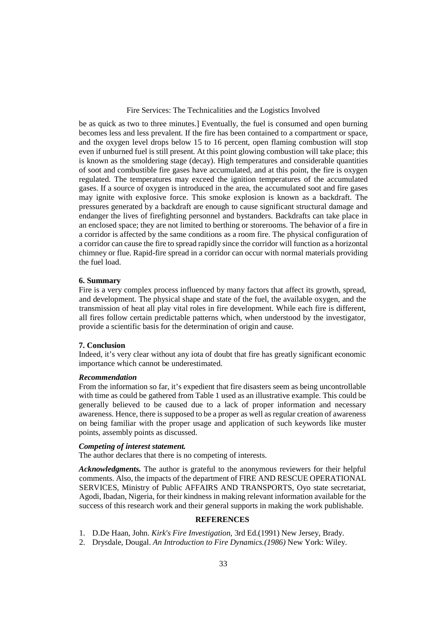be as quick as two to three minutes.] Eventually, the fuel is consumed and open burning becomes less and less prevalent. If the fire has been contained to a compartment or space, and the oxygen level drops below 15 to 16 percent, open flaming combustion will stop even if unburned fuel is still present. At this point glowing combustion will take place; this is known as the smoldering stage (decay). High temperatures and considerable quantities of soot and combustible fire gases have accumulated, and at this point, the fire is oxygen regulated. The temperatures may exceed the ignition temperatures of the accumulated gases. If a source of oxygen is introduced in the area, the accumulated soot and fire gases may ignite with explosive force. This smoke explosion is known as a backdraft. The pressures generated by a backdraft are enough to cause significant structural damage and endanger the lives of firefighting personnel and bystanders. Backdrafts can take place in an enclosed space; they are not limited to berthing or storerooms. The behavior of a fire in a corridor is affected by the same conditions as a room fire. The physical configuration of a corridor can cause the fire to spread rapidly since the corridor will function as a horizontal chimney or flue. Rapid-fire spread in a corridor can occur with normal materials providing the fuel load.

## **6. Summary**

Fire is a very complex process influenced by many factors that affect its growth, spread, and development. The physical shape and state of the fuel, the available oxygen, and the transmission of heat all play vital roles in fire development. While each fire is different, all fires follow certain predictable patterns which, when understood by the investigator, provide a scientific basis for the determination of origin and cause.

#### **7. Conclusion**

Indeed, it's very clear without any iota of doubt that fire has greatly significant economic importance which cannot be underestimated.

## *Recommendation*

From the information so far, it's expedient that fire disasters seem as being uncontrollable with time as could be gathered from Table 1 used as an illustrative example. This could be generally believed to be caused due to a lack of proper information and necessary awareness. Hence, there is supposed to be a proper as well as regular creation of awareness on being familiar with the proper usage and application of such keywords like muster points, assembly points as discussed.

## *Competing of interest statement.*

The author declares that there is no competing of interests.

*Acknowledgments.* The author is grateful to the anonymous reviewers for their helpful comments. Also, the impacts of the department of FIRE AND RESCUE OPERATIONAL SERVICES, Ministry of Public AFFAIRS AND TRANSPORTS, Oyo state secretariat, Agodi, Ibadan, Nigeria, for their kindness in making relevant information available for the success of this research work and their general supports in making the work publishable.

## **REFERENCES**

- 1. D.De Haan, John. *Kirk's Fire Investigation,* 3rd Ed.(1991) New Jersey, Brady.
- 2. Drysdale, Dougal. *An Introduction to Fire Dynamics.(1986)* New York: Wiley.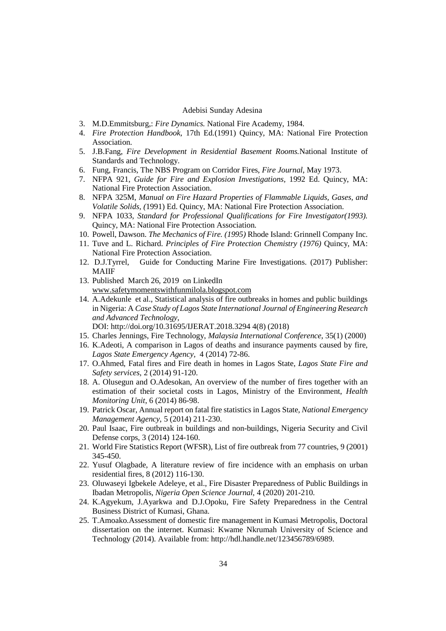- 3. M.D.Emmitsburg,: *Fire Dynamics.* National Fire Academy, 1984.
- 4. *Fire Protection Handbook,* 17th Ed.(1991) Quincy, MA: National Fire Protection Association.
- 5. J.B.Fang, *Fire Development in Residential Basement Rooms.*National Institute of Standards and Technology.
- 6. Fung, Francis, The NBS Program on Corridor Fires, *Fire Journal*, May 1973.
- 7. NFPA 921, *Guide for Fire and Explosion Investigations,* 1992 Ed. Quincy, MA: National Fire Protection Association.
- 8. NFPA 325M, *Manual on Fire Hazard Properties of Flammable Liquids, Gases, and Volatile Solids, (*1991) Ed. Quincy, MA: National Fire Protection Association.
- 9. NFPA 1033, *Standard for Professional Qualifications for Fire Investigator(1993).*  Quincy, MA: National Fire Protection Association.
- 10. Powell, Dawson. *The Mechanics of Fire. (1995)* Rhode Island: Grinnell Company Inc.
- 11. Tuve and L. Richard. *Principles of Fire Protection Chemistry (1976)* Quincy, MA: National Fire Protection Association.
- 12. D.J.Tyrrel, Guide for Conducting Marine Fire Investigations. (2017) Publisher: MAIIF
- 13. Published March 26, 2019 on LinkedIn www.safetymomentswithfunmilola.blogspot.com
- 14. A.Adekunle et al., Statistical analysis of fire outbreaks in homes and public buildings in Nigeria: A *Case Study of Lagos State International Journal of Engineering Research and Advanced Technology*,
	- DOI: http://doi.org/10.31695/IJERAT.2018.3294 4(8) (2018)
- 15. Charles Jennings, Fire Technology, *Malaysia International Conference*, 35(1) (2000)
- 16. K.Adeoti, A comparison in Lagos of deaths and insurance payments caused by fire, *Lagos State Emergency Agency,* 4 (2014) 72-86.
- 17. O.Ahmed, Fatal fires and Fire death in homes in Lagos State, *Lagos State Fire and Safety services*, 2 (2014) 91-120.
- 18. A. Olusegun and O.Adesokan, An overview of the number of fires together with an estimation of their societal costs in Lagos, Ministry of the Environment, *Health Monitoring Unit*, 6 (2014) 86-98.
- 19. Patrick Oscar, Annual report on fatal fire statistics in Lagos State, *National Emergency Management Agency*, 5 (2014) 211-230.
- 20. Paul Isaac, Fire outbreak in buildings and non-buildings, Nigeria Security and Civil Defense corps, 3 (2014) 124-160.
- 21. World Fire Statistics Report (WFSR), List of fire outbreak from 77 countries, 9 (2001) 345-450.
- 22. Yusuf Olagbade, A literature review of fire incidence with an emphasis on urban residential fires, 8 (2012) 116-130.
- 23. Oluwaseyi Igbekele Adeleye, et al., Fire Disaster Preparedness of Public Buildings in Ibadan Metropolis, *Nigeria Open Science Journal,* 4 (2020) 201-210.
- 24. K.Agyekum, J.Ayarkwa and D.J.Opoku, Fire Safety Preparedness in the Central Business District of Kumasi, Ghana.
- 25. T.Amoako.Assessment of domestic fire management in Kumasi Metropolis, Doctoral dissertation on the internet. Kumasi: Kwame Nkrumah University of Science and Technology (2014). Available from: http://hdl.handle.net/123456789/6989.